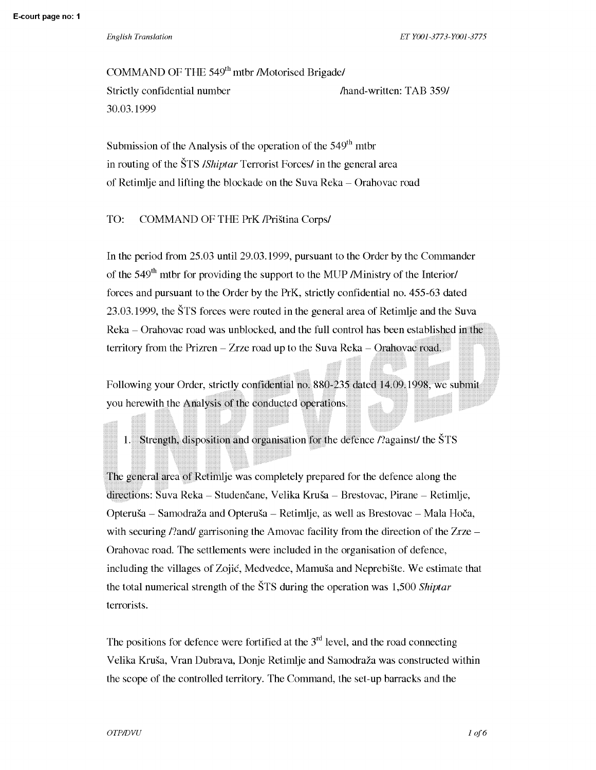*English Translation ET* YOOl-3773-YOOl-3775

COMMAND OF THE 549<sup>th</sup> mtbr /Motorised Brigade/ Strictly confidential number 30.03.1999 /hand-written: TAB 359/

Submission of the Analysis of the operation of the  $549<sup>th</sup>$  mtbr in routing of the STS */Shiptar* Terrorist Forces/ in the general area of Retimlje and lifting the blockade on the Suva Reka - Orahovac road

# TO: COMMAND OF THE PrK /Pristina Corps/

In the period from 25.03 until 29.03.1999, pursuant to the Order by the Commander of the  $549<sup>th</sup>$  mtbr for providing the support to the MUP */Ministry* of the Interior/ forces and pursuant to the Order by the PrK, strictly confidential no. 455-63 dated 23.03.1999, the STS forces were routed in the general area of Retimlje and the Suva Reka - Orahovac road was unblocked, and the full control has been established in the territory from the Prizren - Zrze road up to the Suva Reka - Orahovac road.

Following your Order, strictly confidential no. 880-235 dated 14.09.1998, we submit you herewith the Analysis of the conducted operations.

1. Strength, disposition and organisation for the defence /?against/ the STS

The general area of Retimlje was completely prepared for the defence along the directions: Suva Reka - Studencane, Velika Krusa - Brestovac, Pirane - Retimlje, Opterusa - Samodraza and Opterusa - Retimlje, as well as Brestovac - Mala Hoca, with securing /?and/ garrisoning the Amovac facility from the direction of the Zrze  $-$ Orahovac road. The settlements were included in the organisation of defence, including the villages of Zojic, Medvedce, Mamusa and Neprebiste. We estimate that the total numerical strength of the STS during the operation was 1,500 *Shiptar*  terrorists.

The positions for defence were fortified at the  $3<sup>rd</sup>$  level, and the road connecting Velika Krusa, Vran Dubrava, Donje Retimlje and Samodraza was constructed within the scope of the controlled territory. The Command, the set-up barracks and the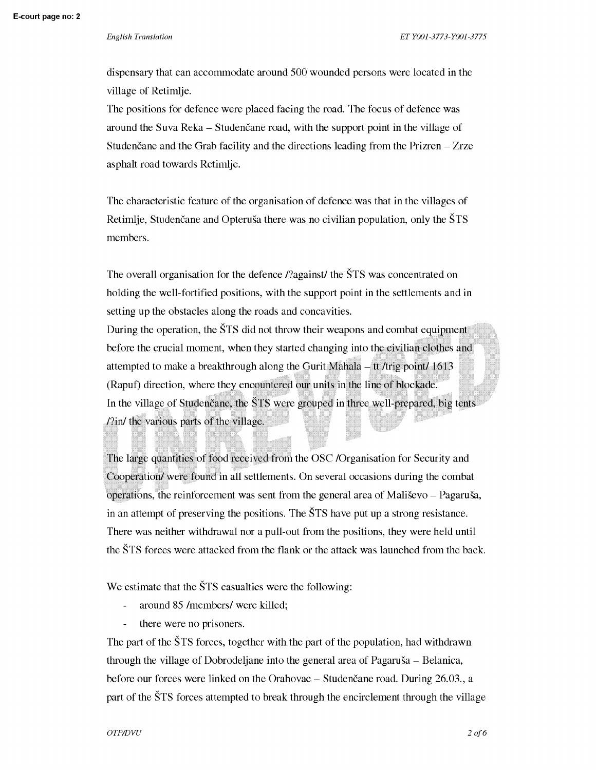dispensary that can accommodate around 500 wounded persons were located in the village of Retimlje.

The positions for defence were placed facing the road. The focus of defence was around the Suva Reka - Studencane road, with the support point in the village of Studencane and the Grab facility and the directions leading from the Prizren – Zrze asphalt road towards Retimlje.

The characteristic feature of the organisation of defence was that in the villages of Retimlje, Studenčane and Opteruša there was no civilian population, only the STS members.

The overall organisation for the defence /?against/ the STS was concentrated on holding the well-fortified positions, with the support point in the settlements and in setting up the obstacles along the roads and concavities.

During the operation, the STS did not throw their weapons and combat equipment before the crucial moment, when they started changing into the civilian clothes and attempted to make a breakthrough along the Gurit Mahala - tt /trig point/ 1613 (Rapuf) direction, where they encountered our units in the line of blockade. In the village of Studencane, the STS were grouped in three well-prepared, big tents /?in/ the various parts of the village.

The large quantities of food received from the OSC /Organisation for Security and Cooperation/ were found in all settlements. On several occasions during the combat operations, the reinforcement was sent from the general area of Malisevo - Pagarusa, in an attempt of preserving the positions. The STS have put up a strong resistance. There was neither withdrawal nor a pull-out from the positions, they were held until the STS forces were attacked from the flank or the attack was launched from the back.

We estimate that the  $\text{STS}$  casualties were the following:

- around 85 /members/ were killed;
- $\overline{a}$ there were no prisoners.

The part of the STS forces, together with the part of the population, had withdrawn through the village of Dobrodeljane into the general area of Pagarusa - Belanica, before our forces were linked on the Orahovac – Studencane road. During 26.03., a part of the STS forces attempted to break through the encirclement through the village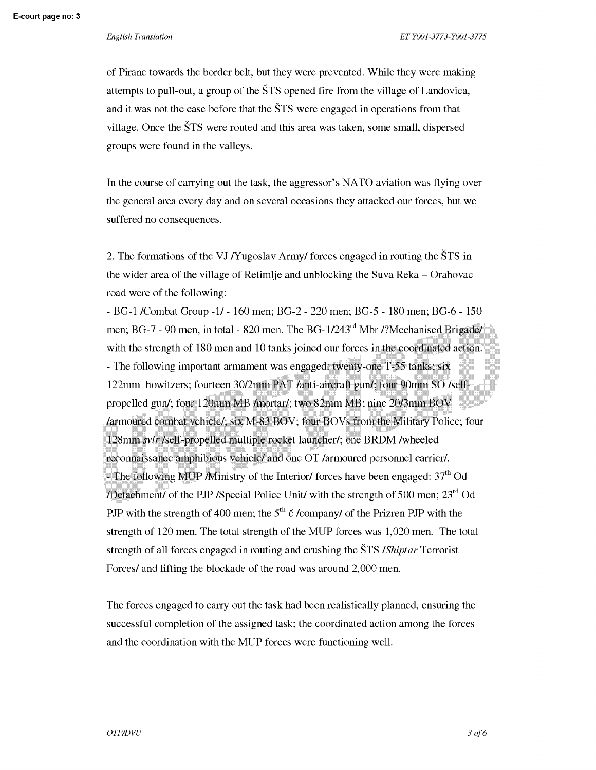of Pirane towards the border belt, but they were prevented. While they were making attempts to pull-out, a group of the STS opened fire from the village of Landovica, and it was not the case before that the STS were engaged in operations from that village. Once the STS were routed and this area was taken, some small, dispersed groups were found in the valleys.

In the course of carrying out the task, the aggressor's NA TO aviation was flying over the general area every day and on several occasions they attacked our forces, but we suffered no consequences.

2. The formations of the VJ /Yugoslav Army/ forces engaged in routing the STS in the wider area of the village of Retimlje and unblocking the Suva Reka - Orahovac road were of the following:

- BG-1 /Combat Group -1/ - 160 men; BG-2 - 220 men; BG-5 - 180 men; BG-6 - 150 men; BG-7 - 90 men, in total - 820 men. The BG-1/243<sup>rd</sup> Mbr /?Mechanised Brigade/ with the strength of 180 men and 10 tanks joined our forces in the coordinated action. - The following important armament was engaged: twenty-one T-55 tanks; six 122mm howitzers; fourteen 3012mm PAT /anti-aircraft gun/; four 90mm SO /selfpropelled gun/; four 120mm MB /mortar/; two 82mm MB; nine 2013mm BOV /armoured combat vehicle/; six M-83 BOV; four BOVs from the Military Police; four 128mm *svlr* /self-propelled multiple rocket launcher/; one BRDM /wheeled reconnaissance amphibious vehicle/ and one OT /armoured personnel carrier/. - The following MUP *M*inistry of the Interior/ forces have been engaged:  $37<sup>th</sup>$  Od /Detachment/ of the PJP /Special Police Unit/ with the strength of 500 men;  $23<sup>rd</sup>$  Od PJP with the strength of 400 men; the  $5<sup>th</sup>$  č /company/ of the Prizren PJP with the strength of 120 men. The total strength of the MUP forces was 1,020 men. The total strength of all forces engaged in routing and crushing the STS */Shiptar* Terrorist Forces/ and lifting the blockade of the road was around 2,000 men.

The forces engaged to carry out the task had been realistically planned, ensuring the successful completion of the assigned task; the coordinated action among the forces and the coordination with the MUP forces were functioning well.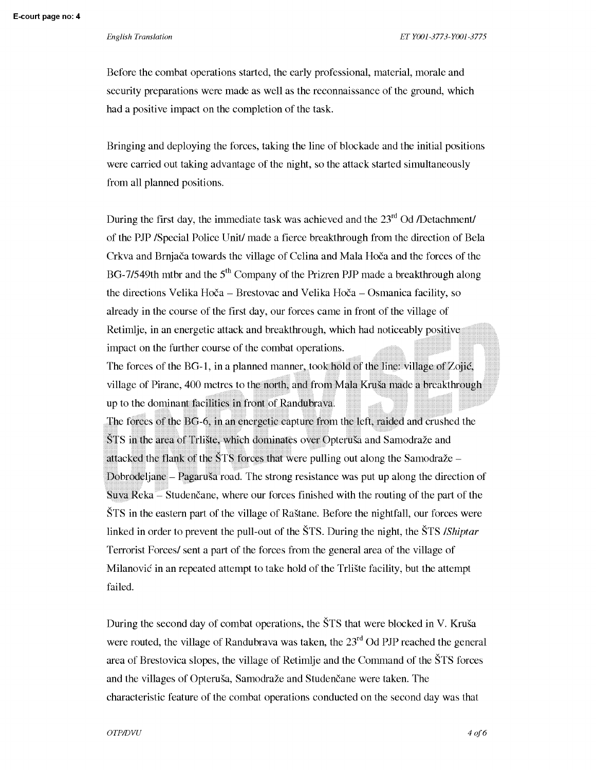Before the combat operations started, the early professional, material, morale and security preparations were made as well as the reconnaissance of the ground, which had a positive impact on the completion of the task.

Bringing and deploying the forces, taking the line of blockade and the initial positions were carried out taking advantage of the night, so the attack started simultaneously from all planned positions.

During the first day, the immediate task was achieved and the  $23<sup>rd</sup>$  Od /Detachment/ of the PJP /Special Police Unit/ made a fierce breakthrough from the direction of Bela Crkva and Brnjaca towards the village of Celina and Mala Hoca and the forces of the BG-7/549th mtbr and the  $5<sup>th</sup>$  Company of the Prizren PJP made a breakthrough along the directions Velika Hoca - Brestovac and Velika Hoca - Osmanica facility, so already in the course of the first day, our forces came in front of the village of Retimlje, in an energetic attack and breakthrough, which had noticeably positive impact on the further course of the combat operations.

The forces of the BG-1, in a planned manner, took hold of the line: village of Zojic, village of Pirane, 400 metres to the north, and from Mala Krusa made a breakthrough up to the dominant facilities in front of Randubrava.

The forces of the BG-6, in an energetic capture from the left, raided and crushed the STS in the area of Trliste, which dominates over Opterusa and Samodraze and attacked the flank of the  $STS$  forces that were pulling out along the Samodraže – Dobrodeljane – Pagaruša road. The strong resistance was put up along the direction of  $S$ uva  $Re$ ka  $\overline{-}$  Studencane, where our forces finished with the routing of the part of the STS in the eastern part of the village of Rastane. Before the nightfall, our forces were linked in order to prevent the pull-out of the STS. During the night, the STS */Shiptar*  Terrorist Forces/ sent a part of the forces from the general area of the village of Milanovic in an repeated attempt to take hold of the Trliste facility, but the attempt failed.

During the second day of combat operations, the STS that were blocked in V. Krusa were routed, the village of Randubrava was taken, the  $23<sup>rd</sup>$  Od PJP reached the general area of Brestovica slopes, the village of Retimlje and the Command of the STS forces and the villages of Opteruša, Samodraže and Studencane were taken. The characteristic feature of the combat operations conducted on the second day was that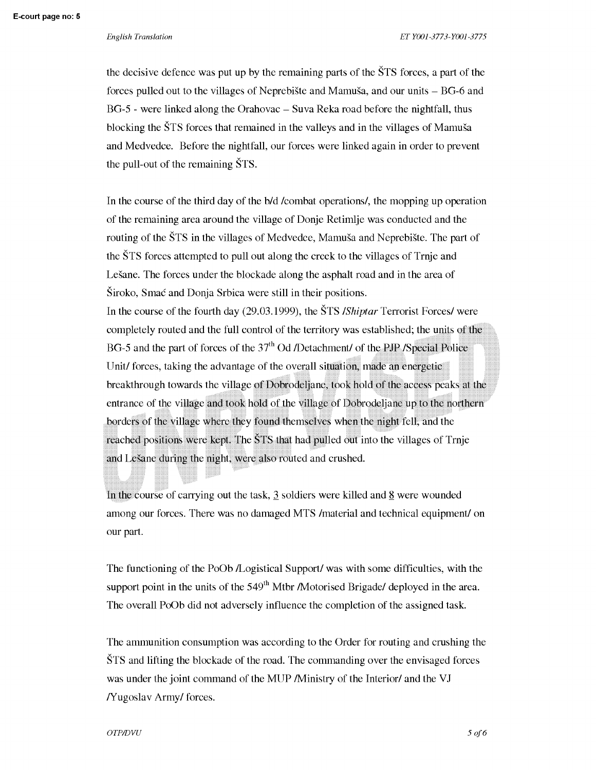the decisive defence was put up by the remaining parts of the STS forces, a part of the forces pulled out to the villages of Neprebiste and Mamusa, and our units - BG-6 and BG-5 - were linked along the Orahovac - Suva Reka road before the nightfall, thus blocking the STS forces that remained in the valleys and in the villages of Mamusa and Medvedce. Before the nightfall, our forces were linked again in order to prevent the pull-out of the remaining STS.

In the course of the third day of the b/d /combat operations/, the mopping up operation of the remaining area around the village of Donje Retimlje was conducted and the routing of the STS in the villages of Medvedce, Mamusa and Neprebiste. The part of the STS forces attempted to pull out along the creek to the villages of Trnje and Lesane. The forces under the blockade along the asphalt road and in the area of Siroka, Smac and Donja Srbica were still in their positions. In the course of the fourth day (29.03.1999), the STS */Shiptar* Terrorist Forces/ were

completely routed and the full control of the territory was established; the units of the BG-5 and the part of forces of the  $37<sup>th</sup>$  Od /Detachment/ of the PJP /Special Police Unit/ forces, taking the advantage of the overall situation, made an energetic breakthrough towards the village of Dobrodeljane, took hold of the access peaks at the entrance of the village and took hold of the village of Dobrodeljane up to the northern borders of the village where they found themselves when the night fell, and the reached positions were kept. The STS that had pulled out into the villages of Trnje and Lešane during the night, were also routed and crushed.

In the course of carrying out the task,  $\frac{3}{2}$  soldiers were killed and  $\frac{8}{2}$  were wounded among our forces. There was no damaged MTS /material and technical equipment/ on our part.

The functioning of the PoOb /Logistical Support/ was with some difficulties, with the support point in the units of the  $549<sup>th</sup>$  Mtbr /Motorised Brigade/ deployed in the area. The overall PoOb did not adversely influence the completion of the assigned task.

The ammunition consumption was according to the Order for routing and crushing the STS and lifting the blockade of the road. The commanding over the envisaged forces was under the joint command of the MUP /Ministry of the Interior/ and the VJ /Yugoslav Army/ forces.

### $\overline{OTP}$ *DVU* 5 of 6